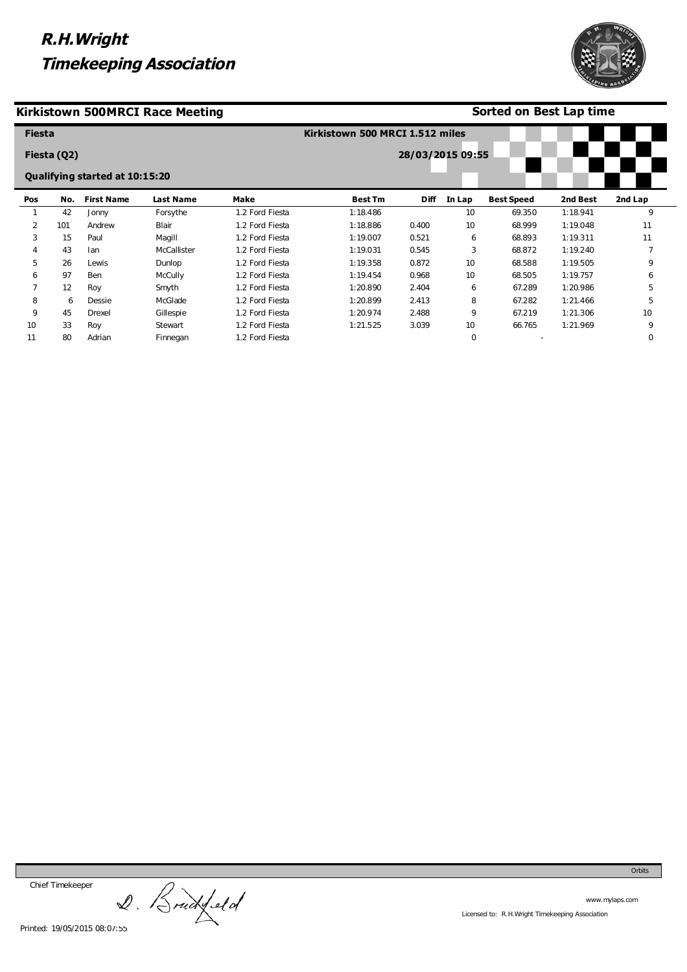



| <b>Fiesta</b>  |             |                                |                  |                 | Kirkistown 500 MRCI 1.512 miles |                  |                 |                   |          |                          |
|----------------|-------------|--------------------------------|------------------|-----------------|---------------------------------|------------------|-----------------|-------------------|----------|--------------------------|
|                | Fiesta (Q2) |                                |                  |                 |                                 | 28/03/2015 09:55 |                 |                   |          |                          |
|                |             | Qualifying started at 10:15:20 |                  |                 |                                 |                  |                 |                   |          |                          |
| Pos            | No.         | <b>First Name</b>              | <b>Last Name</b> | Make            | <b>Best Tm</b>                  | <b>Diff</b>      | In Lap          | <b>Best Speed</b> | 2nd Best | 2nd Lap                  |
|                | 42          | Jonny                          | Forsythe         | 1.2 Ford Fiesta | 1:18.486                        |                  | 10              | 69.350            | 1:18.941 | 9                        |
| $\overline{2}$ | 101         | Andrew                         | Blair            | 1.2 Ford Fiesta | 1:18.886                        | 0.400            | 10              | 68.999            | 1:19.048 | 11                       |
| 3              | 15          | Paul                           | Magill           | 1.2 Ford Fiesta | 1:19.007                        | 0.521            | 6               | 68.893            | 1:19.311 | 11                       |
| 4              | 43          | lan                            | McCallister      | 1.2 Ford Fiesta | 1:19.031                        | 0.545            | 3               | 68.872            | 1:19.240 | $\overline{\phantom{a}}$ |
| 5              | 26          | Lewis                          | Dunlop           | 1.2 Ford Fiesta | 1:19.358                        | 0.872            | 10              | 68.588            | 1:19.505 | 9                        |
| 6              | 97          | Ben                            | McCully          | 1.2 Ford Fiesta | 1:19.454                        | 0.968            | 10 <sup>°</sup> | 68.505            | 1:19.757 | 6                        |
| 7              | 12          | Roy                            | Smyth            | 1.2 Ford Fiesta | 1:20.890                        | 2.404            | 6               | 67.289            | 1:20.986 | 5                        |
| 8              | 6           | Dessie                         | McGlade          | 1.2 Ford Fiesta | 1:20.899                        | 2.413            | 8               | 67.282            | 1:21.466 | 5                        |
| 9              | 45          | Drexel                         | Gillespie        | 1.2 Ford Fiesta | 1:20.974                        | 2.488            | 9               | 67.219            | 1:21.306 | 10                       |
| 10             | 33          | Roy                            | Stewart          | 1.2 Ford Fiesta | 1:21.525                        | 3.039            | 10              | 66.765            | 1:21.969 | 9                        |
| 11             | 80          | Adrian                         | Finnegan         | 1.2 Ford Fiesta |                                 |                  | 0               |                   |          | 0                        |

Chief Timekeeper

Chief Timekeeper<br>R. Brack Lelo

Orbits

www.mylaps.com Licensed to: R.H.Wright Timekeeping Association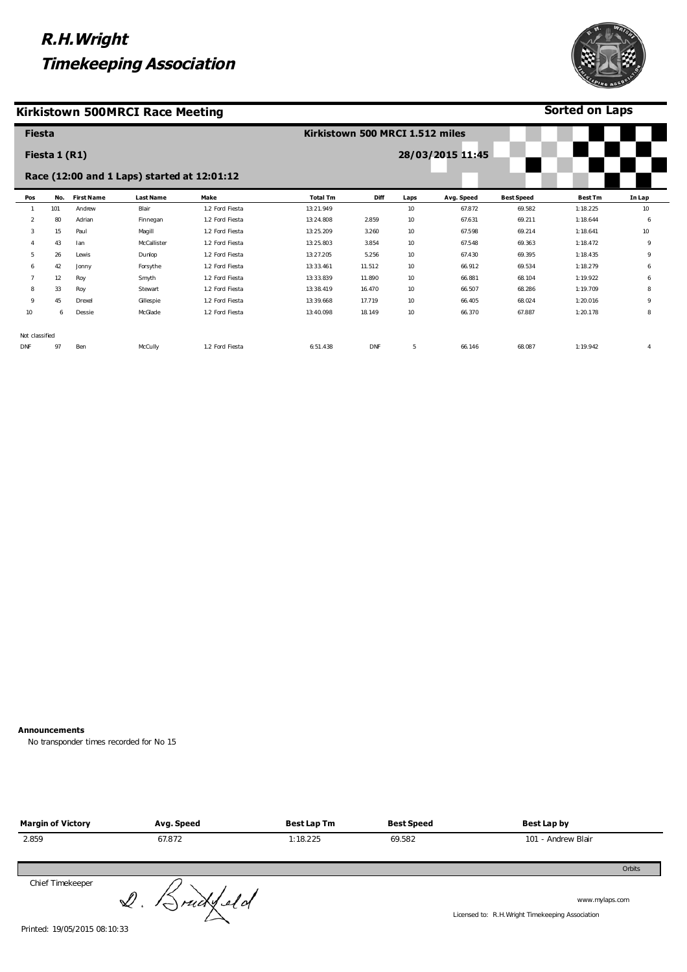#### **Kirkistown 500MRCI Race Meeting**



**Sorted on Laps**

| <b>Fiesta</b>                |               |                   |                                             |                 | Kirkistown 500 MRCI 1.512 miles |             |      |                  |                   |                |        |
|------------------------------|---------------|-------------------|---------------------------------------------|-----------------|---------------------------------|-------------|------|------------------|-------------------|----------------|--------|
|                              | Fiesta 1 (R1) |                   | Race (12:00 and 1 Laps) started at 12:01:12 |                 |                                 |             |      | 28/03/2015 11:45 |                   |                |        |
| Pos                          | No.           | <b>First Name</b> | <b>Last Name</b>                            | Make            | <b>Total Tm</b>                 | <b>Diff</b> | Laps | Avg. Speed       | <b>Best Speed</b> | <b>Best Tm</b> | In Lap |
|                              | 101           | Andrew            | Blair                                       | 1.2 Ford Fiesta | 13:21.949                       |             | 10   | 67.872           | 69.582            | 1:18.225       | 10     |
| $\overline{2}$               | 80            | Adrian            | Finnegan                                    | 1.2 Ford Fiesta | 13:24.808                       | 2.859       | 10   | 67.631           | 69.211            | 1:18.644       | 6      |
| 3                            | 15            | Paul              | Magill                                      | 1.2 Ford Fiesta | 13:25.209                       | 3.260       | 10   | 67.598           | 69.214            | 1:18.641       | 10     |
|                              | 43            | lan               | McCallister                                 | 1.2 Ford Fiesta | 13:25.803                       | 3.854       | 10   | 67.548           | 69.363            | 1:18.472       | 9      |
| 5                            | 26            | Lewis             | Dunlop                                      | 1.2 Ford Fiesta | 13:27.205                       | 5.256       | 10   | 67.430           | 69.395            | 1:18.435       | 9      |
| 6                            | 42            | Jonny             | Forsythe                                    | 1.2 Ford Fiesta | 13:33.461                       | 11.512      | 10   | 66.912           | 69.534            | 1:18.279       | 6      |
|                              | 12            | Roy               | Smyth                                       | 1.2 Ford Fiesta | 13:33.839                       | 11.890      | 10   | 66.881           | 68.104            | 1:19.922       | 6      |
| 8                            | 33            | Roy               | Stewart                                     | 1.2 Ford Fiesta | 13:38.419                       | 16.470      | 10   | 66.507           | 68.286            | 1:19.709       | 8      |
| 9                            | 45            | Drexel            | Gillespie                                   | 1.2 Ford Fiesta | 13:39.668                       | 17.719      | 10   | 66.405           | 68.024            | 1:20.016       | 9      |
| 10 <sup>°</sup>              | 6             | Dessie            | McGlade                                     | 1.2 Ford Fiesta | 13:40.098                       | 18.149      | 10   | 66.370           | 67.887            | 1:20.178       | 8      |
| Not classified<br><b>DNF</b> | 97            | Ben               | McCully                                     | 1.2 Ford Fiesta | 6:51.438                        | <b>DNF</b>  | 5    | 66.146           | 68.087            | 1:19.942       | 4      |

#### **Announcements**

No transponder times recorded for No 15

| <b>Margin of Victory</b> | Avg. Speed            | <b>Best Lap Tm</b> | <b>Best Speed</b> | Best Lap by                                                        |
|--------------------------|-----------------------|--------------------|-------------------|--------------------------------------------------------------------|
| 2.859                    | 67.872                | 1:18.225           | 69.582            | 101 - Andrew Blair                                                 |
|                          |                       |                    |                   | Orbits                                                             |
| Chief Timekeeper         | $Q.$ $\beta$ ruckleld |                    |                   | www.mylaps.com<br>Licensed to: R.H. Wright Timekeeping Association |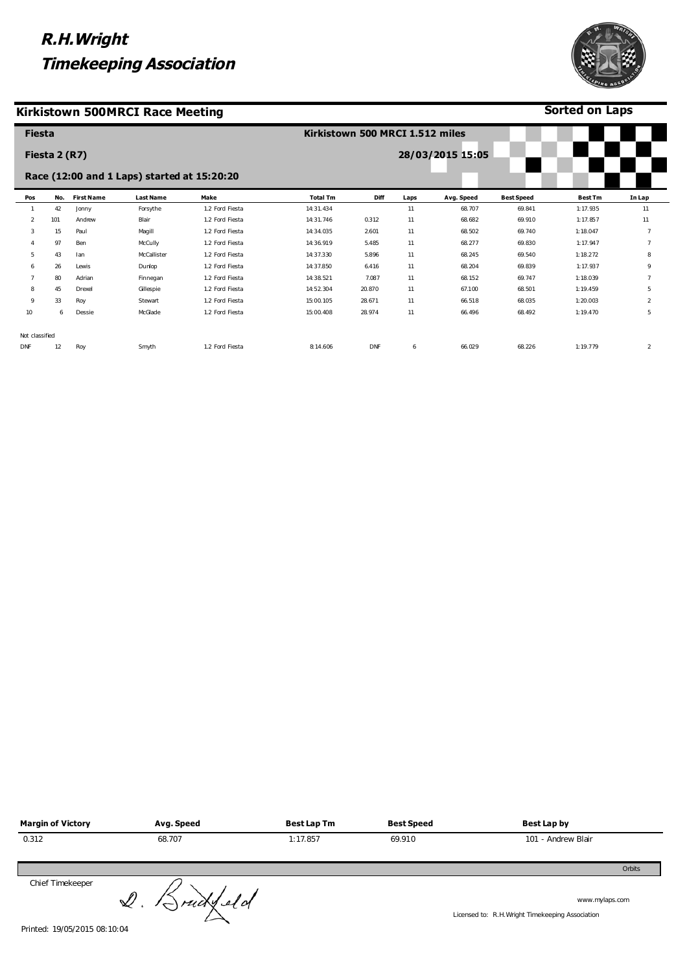#### **Kirkistown 500MRCI Race Meeting**



**Sorted on Laps**

| <b>Fiesta</b>                |               |                   |                                             |                 | Kirkistown 500 MRCI 1.512 miles |            |      |                  |                   |                |                |
|------------------------------|---------------|-------------------|---------------------------------------------|-----------------|---------------------------------|------------|------|------------------|-------------------|----------------|----------------|
|                              | Fiesta 2 (R7) |                   | Race (12:00 and 1 Laps) started at 15:20:20 |                 |                                 |            |      | 28/03/2015 15:05 |                   |                |                |
| Pos                          | No.           | <b>First Name</b> | <b>Last Name</b>                            | Make            | <b>Total Tm</b>                 | Diff       | Laps | Avg. Speed       | <b>Best Speed</b> | <b>Best Tm</b> | In Lap         |
|                              | 42            | Jonny             | Forsythe                                    | 1.2 Ford Fiesta | 14:31.434                       |            | 11   | 68.707           | 69.841            | 1:17.935       | 11             |
| 2                            | 101           | Andrew            | Blair                                       | 1.2 Ford Fiesta | 14:31.746                       | 0.312      | 11   | 68.682           | 69.910            | 1:17.857       | 11             |
| 3                            | 15            | Paul              | Magill                                      | 1.2 Ford Fiesta | 14:34.035                       | 2.601      | 11   | 68.502           | 69.740            | 1:18.047       |                |
| 4                            | 97            | Ben               | McCully                                     | 1.2 Ford Fiesta | 14:36.919                       | 5.485      | 11   | 68.277           | 69.830            | 1:17.947       |                |
| 5                            | 43            | lan               | McCallister                                 | 1.2 Ford Fiesta | 14:37.330                       | 5.896      | 11   | 68.245           | 69.540            | 1:18.272       | 8              |
| 6                            | 26            | Lewis             | Dunlop                                      | 1.2 Ford Fiesta | 14:37.850                       | 6.416      | 11   | 68.204           | 69.839            | 1:17.937       | Q              |
|                              | 80            | Adrian            | Finnegan                                    | 1.2 Ford Fiesta | 14:38.521                       | 7.087      | 11   | 68.152           | 69.747            | 1:18.039       |                |
| 8                            | 45            | Drexel            | Gillespie                                   | 1.2 Ford Fiesta | 14:52.304                       | 20.870     | 11   | 67.100           | 68.501            | 1:19.459       | 5              |
| 9                            | 33            | Roy               | Stewart                                     | 1.2 Ford Fiesta | 15:00.105                       | 28.671     | 11   | 66.518           | 68.035            | 1:20.003       | $\overline{2}$ |
| 10                           | 6             | Dessie            | McGlade                                     | 1.2 Ford Fiesta | 15:00.408                       | 28.974     | 11   | 66.496           | 68.492            | 1:19.470       | 5              |
| Not classified<br><b>DNF</b> | 12            | Roy               | Smyth                                       | 1.2 Ford Fiesta | 8:14.606                        | <b>DNF</b> | 6    | 66.029           | 68.226            | 1:19.779       | $\overline{2}$ |

| <b>Margin of Victory</b> | Avg. Speed | Best Lap Tm | <b>Best Speed</b> | Best Lap by        |
|--------------------------|------------|-------------|-------------------|--------------------|
| 0.312                    | 68.707     | 1:17.857    | 69.910            | 101 - Andrew Blair |
|                          |            |             |                   | Orbits             |

Chief Timekeeper

www.mylaps.com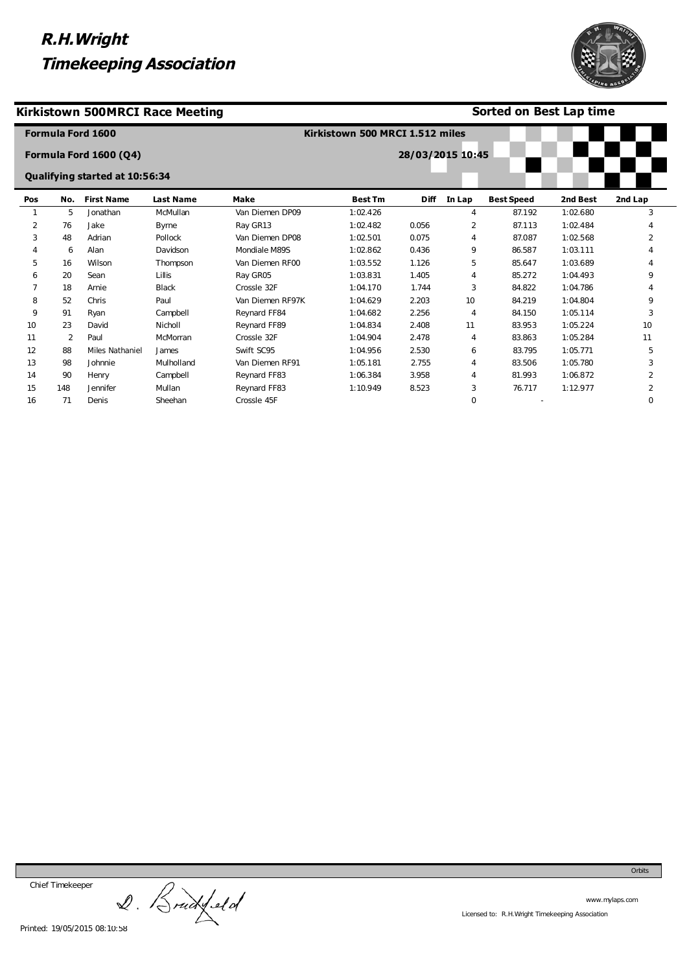



#### **Sorted on Best Lap time**

|                |     | <b>Formula Ford 1600</b>              |                  |                  | Kirkistown 500 MRCI 1.512 miles |                  |                |                   |          |                |
|----------------|-----|---------------------------------------|------------------|------------------|---------------------------------|------------------|----------------|-------------------|----------|----------------|
|                |     | Formula Ford 1600 (Q4)                |                  |                  |                                 | 28/03/2015 10:45 |                |                   |          |                |
|                |     | <b>Qualifying started at 10:56:34</b> |                  |                  |                                 |                  |                |                   |          |                |
| Pos            | No. | <b>First Name</b>                     | <b>Last Name</b> | Make             | <b>Best Tm</b>                  | <b>Diff</b>      | In Lap         | <b>Best Speed</b> | 2nd Best | 2nd Lap        |
|                | 5   | Jonathan                              | McMullan         | Van Diemen DP09  | 1:02.426                        |                  | 4              | 87.192            | 1:02.680 | 3              |
| $\overline{2}$ | 76  | Jake                                  | Byrne            | Ray GR13         | 1:02.482                        | 0.056            | $\overline{2}$ | 87.113            | 1:02.484 |                |
| 3              | 48  | Adrian                                | Pollock          | Van Diemen DP08  | 1:02.501                        | 0.075            | 4              | 87.087            | 1:02.568 | 2              |
| 4              | 6   | Alan                                  | Davidson         | Mondiale M89S    | 1:02.862                        | 0.436            | 9              | 86.587            | 1:03.111 |                |
| 5              | 16  | Wilson                                | Thompson         | Van Diemen RF00  | 1:03.552                        | 1.126            | 5              | 85.647            | 1:03.689 | 4              |
| 6              | 20  | Sean                                  | Lillis           | Ray GR05         | 1:03.831                        | 1.405            | 4              | 85.272            | 1:04.493 | 9              |
|                | 18  | Arnie                                 | <b>Black</b>     | Crossle 32F      | 1:04.170                        | 1.744            | 3              | 84.822            | 1:04.786 |                |
| 8              | 52  | Chris                                 | Paul             | Van Diemen RF97K | 1:04.629                        | 2.203            | 10             | 84.219            | 1:04.804 | 9              |
| 9              | 91  | Ryan                                  | Campbell         | Reynard FF84     | 1:04.682                        | 2.256            | 4              | 84.150            | 1:05.114 | 3              |
| 10             | 23  | David                                 | Nicholl          | Reynard FF89     | 1:04.834                        | 2.408            | 11             | 83.953            | 1:05.224 | 10             |
| 11             | 2   | Paul                                  | McMorran         | Crossle 32F      | 1:04.904                        | 2.478            | $\overline{4}$ | 83.863            | 1:05.284 | 11             |
| 12             | 88  | Miles Nathaniel                       | James            | Swift SC95       | 1:04.956                        | 2.530            | 6              | 83.795            | 1:05.771 | 5              |
| 13             | 98  | Johnnie                               | Mulholland       | Van Diemen RF91  | 1:05.181                        | 2.755            | 4              | 83.506            | 1:05.780 | 3              |
| 14             | 90  | Henry                                 | Campbell         | Reynard FF83     | 1:06.384                        | 3.958            | 4              | 81.993            | 1:06.872 | $\overline{2}$ |
| 15             | 148 | Jennifer                              | Mullan           | Reynard FF83     | 1:10.949                        | 8.523            | 3              | 76.717            | 1:12.977 | 2              |
| 16             | 71  | Denis                                 | Sheehan          | Crossle 45F      |                                 |                  | $\mathbf 0$    |                   |          | $\Omega$       |

Chief Timekeeper

Chief Timekeeper<br>
2. Bruckfeld

www.mylaps.com Licensed to: R.H.Wright Timekeeping Association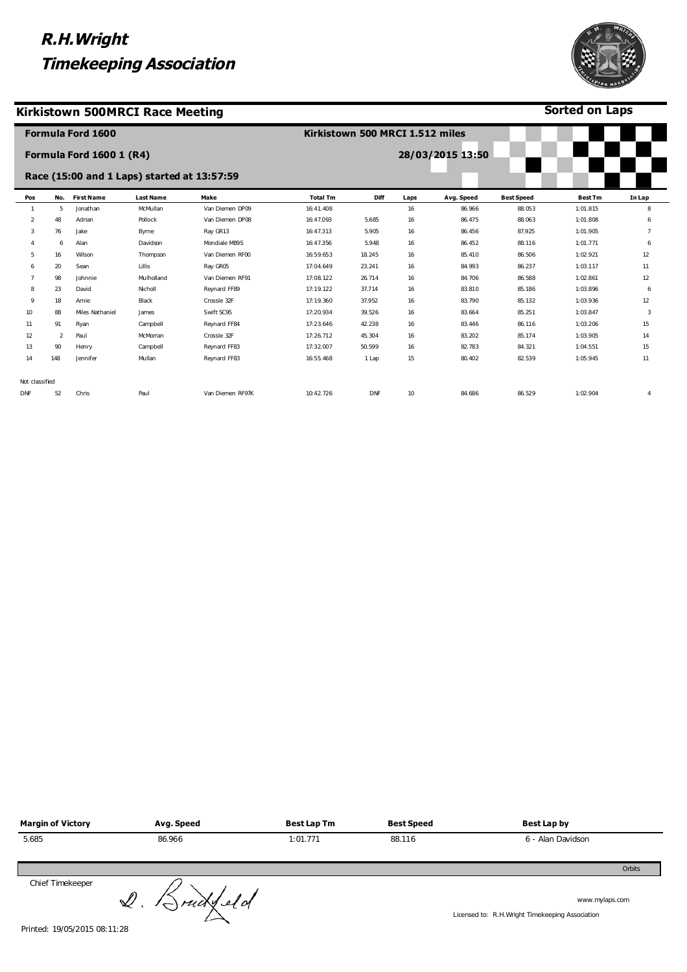#### **Kirkistown 500MRCI Race Meeting**



**Sorted on Laps**

|                |                | <b>Formula Ford 1600</b> |                  |                                             | Kirkistown 500 MRCI 1.512 miles |        |      |                  |                   |                |                |
|----------------|----------------|--------------------------|------------------|---------------------------------------------|---------------------------------|--------|------|------------------|-------------------|----------------|----------------|
|                |                | Formula Ford 1600 1 (R4) |                  |                                             |                                 |        |      | 28/03/2015 13:50 |                   |                |                |
|                |                |                          |                  | Race (15:00 and 1 Laps) started at 13:57:59 |                                 |        |      |                  |                   |                |                |
| Pos            | No.            | <b>First Name</b>        | <b>Last Name</b> | Make                                        | <b>Total Tm</b>                 | Diff   | Laps | Avg. Speed       | <b>Best Speed</b> | <b>Best Tm</b> | In Lap         |
|                | 5              | Jonathan                 | McMullan         | Van Diemen DP09                             | 16:41.408                       |        | 16   | 86.966           | 88.053            | 1:01.815       | 8              |
| 2              | 48             | Adrian                   | Pollock          | Van Diemen DP08                             | 16:47.093                       | 5.685  | 16   | 86.475           | 88.063            | 1:01.808       | 6              |
| 3              | 76             | Jake                     | Byrne            | Ray GR13                                    | 16:47.313                       | 5.905  | 16   | 86.456           | 87.925            | 1:01.905       | $\overline{7}$ |
|                | 6              | Alan                     | Davidson         | Mondiale M89S                               | 16:47.356                       | 5.948  | 16   | 86.452           | 88.116            | 1:01.771       | 6              |
| 5              | 16             | Wilson                   | Thompson         | Van Diemen RF00                             | 16:59.653                       | 18.245 | 16   | 85.410           | 86.506            | 1:02.921       | 12             |
| 6              | 20             | Sean                     | Lillis           | Ray GR05                                    | 17:04.649                       | 23.241 | 16   | 84.993           | 86.237            | 1:03.117       | 11             |
|                | 98             | Johnnie                  | Mulholland       | Van Diemen RF91                             | 17:08.122                       | 26.714 | 16   | 84.706           | 86.588            | 1:02.861       | 12             |
| 8              | 23             | David                    | Nicholl          | Reynard FF89                                | 17:19.122                       | 37.714 | 16   | 83.810           | 85.186            | 1:03.896       | 6              |
| 9              | 18             | Arnie                    | Black            | Crossle 32F                                 | 17:19.360                       | 37.952 | 16   | 83.790           | 85.132            | 1:03.936       | 12             |
| 10             | 88             | Miles Nathaniel          | James            | Swift SC95                                  | 17:20.934                       | 39.526 | 16   | 83.664           | 85.251            | 1:03.847       | 3              |
| 11             | 91             | Ryan                     | Campbell         | Reynard FF84                                | 17:23.646                       | 42.238 | 16   | 83.446           | 86.116            | 1:03.206       | 15             |
| 12             | $\overline{2}$ | Paul                     | McMorran         | Crossle 32F                                 | 17:26.712                       | 45.304 | 16   | 83.202           | 85.174            | 1:03.905       | 14             |
| 13             | 90             | Henry                    | Campbell         | Reynard FF83                                | 17:32.007                       | 50.599 | 16   | 82.783           | 84.321            | 1:04.551       | 15             |
| 14             | 148            | Jennifer                 | Mullan           | Reynard FF83                                | 16:55.468                       | 1 Lap  | 15   | 80.402           | 82.539            | 1:05.945       | 11             |
| Not classified |                |                          |                  |                                             |                                 |        |      |                  |                   |                |                |
| DNF            | 52             | Chris                    | Paul             | Van Diemen RF97K                            | 10:42.726                       | DNF    | 10   | 84.686           | 86.529            | 1:02.904       | $\overline{4}$ |

| <b>Margin of Victory</b> | Avg. Speed | <b>Best Lap Tm</b> | <b>Best Speed</b> | Best Lap by       |
|--------------------------|------------|--------------------|-------------------|-------------------|
| 5.685                    | 86.966     | 1:01.771           | 88.116            | 6 - Alan Davidson |
|                          |            |                    |                   | Orbits            |
| Chief Timekeeper         |            |                    |                   |                   |

Printed: 19/05/2015 08:11:28

www.mylaps.com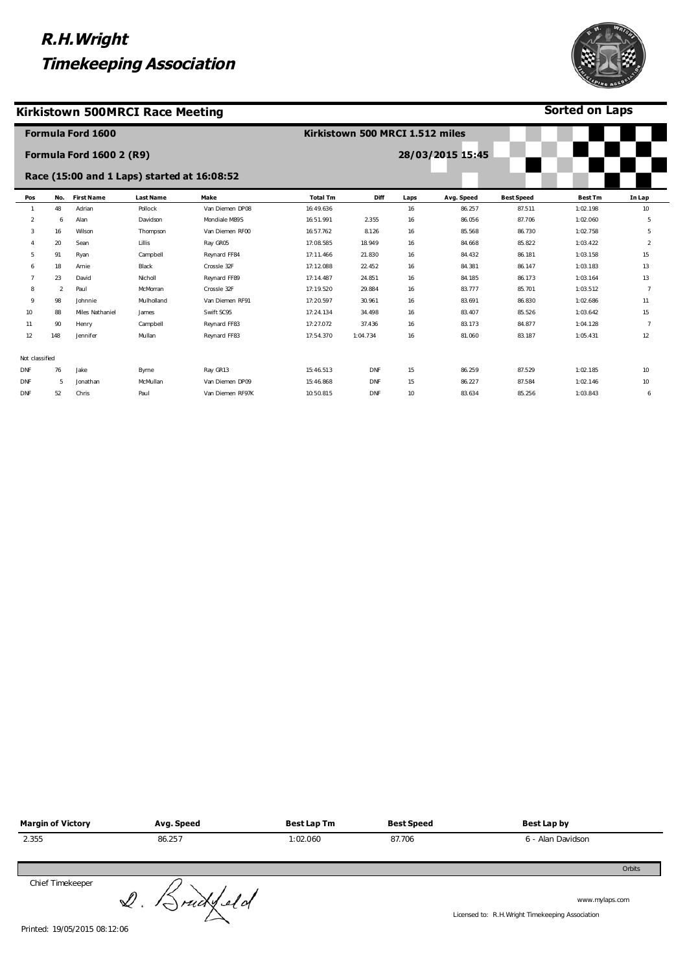#### **Kirkistown 500MRCI Race Meeting**



**Sorted on Laps**

|                |                | <b>Formula Ford 1600</b> |                                             |                  |                 | Kirkistown 500 MRCI 1.512 miles |      |                  |                   |                |        |
|----------------|----------------|--------------------------|---------------------------------------------|------------------|-----------------|---------------------------------|------|------------------|-------------------|----------------|--------|
|                |                | Formula Ford 1600 2 (R9) |                                             |                  |                 |                                 |      | 28/03/2015 15:45 |                   |                |        |
|                |                |                          | Race (15:00 and 1 Laps) started at 16:08:52 |                  |                 |                                 |      |                  |                   |                |        |
| Pos            | No.            | <b>First Name</b>        | <b>Last Name</b>                            | Make             | <b>Total Tm</b> | Diff                            | Laps | Avg. Speed       | <b>Best Speed</b> | <b>Best Tm</b> | In Lap |
|                | 48             | Adrian                   | Pollock                                     | Van Diemen DP08  | 16:49.636       |                                 | 16   | 86.257           | 87.511            | 1:02.198       | 10     |
| $\overline{2}$ | 6              | Alan                     | Davidson                                    | Mondiale M89S    | 16:51.991       | 2.355                           | 16   | 86.056           | 87.706            | 1:02.060       | 5      |
| 3              | 16             | Wilson                   | Thompson                                    | Van Diemen RF00  | 16:57.762       | 8.126                           | 16   | 85.568           | 86.730            | 1:02.758       | 5      |
|                | 20             | Sean                     | Lillis                                      | Ray GR05         | 17:08.585       | 18.949                          | 16   | 84.668           | 85.822            | 1:03.422       | 2      |
| 5              | 91             | Ryan                     | Campbell                                    | Revnard FF84     | 17:11.466       | 21.830                          | 16   | 84.432           | 86.181            | 1:03.158       | 15     |
| 6              | 18             | Arnie                    | Black                                       | Crossle 32F      | 17:12.088       | 22.452                          | 16   | 84.381           | 86.147            | 1:03.183       | 13     |
| $\overline{7}$ | 23             | David                    | Nicholl                                     | Reynard FF89     | 17:14.487       | 24.851                          | 16   | 84.185           | 86.173            | 1:03.164       | 13     |
| 8              | $\overline{a}$ | Paul                     | McMorran                                    | Crossle 32F      | 17:19.520       | 29.884                          | 16   | 83.777           | 85.701            | 1:03.512       |        |
| 9              | 98             | Johnnie                  | Mulholland                                  | Van Diemen RF91  | 17:20.597       | 30.961                          | 16   | 83.691           | 86.830            | 1:02.686       | 11     |
| 10             | 88             | Miles Nathaniel          | James                                       | Swift SC95       | 17:24.134       | 34.498                          | 16   | 83.407           | 85.526            | 1:03.642       | 15     |
| 11             | 90             | Henry                    | Campbell                                    | Reynard FF83     | 17:27.072       | 37.436                          | 16   | 83.173           | 84.877            | 1:04.128       |        |
| 12             | 148            | Jennifer                 | Mullan                                      | Reynard FF83     | 17:54.370       | 1:04.734                        | 16   | 81.060           | 83.187            | 1:05.431       | 12     |
| Not classified |                |                          |                                             |                  |                 |                                 |      |                  |                   |                |        |
| <b>DNF</b>     | 76             | Jake                     | Byrne                                       | Ray GR13         | 15:46.513       | <b>DNF</b>                      | 15   | 86.259           | 87.529            | 1:02.185       | 10     |
| <b>DNF</b>     | 5              | Jonathan                 | McMullan                                    | Van Diemen DP09  | 15:46.868       | <b>DNF</b>                      | 15   | 86.227           | 87.584            | 1:02.146       | 10     |
| <b>DNF</b>     | 52             | Chris                    | Paul                                        | Van Diemen RF97K | 10:50.815       | <b>DNF</b>                      | 10   | 83.634           | 85.256            | 1:03.843       | 6      |

| <b>Margin of Victory</b> | Avg. Speed | Best Lap Tm | <b>Best Speed</b> | Best Lap by       |
|--------------------------|------------|-------------|-------------------|-------------------|
| 2.355                    | 86.257     | 1:02.060    | 87.706            | 6 - Alan Davidson |
|                          |            |             |                   | Orbits            |
| Chiof Timokooner         |            |             |                   |                   |

Chief Timekeeper

Chief Timekeeper<br>Printed: 19/05/2015 08:12:06

www.mylaps.com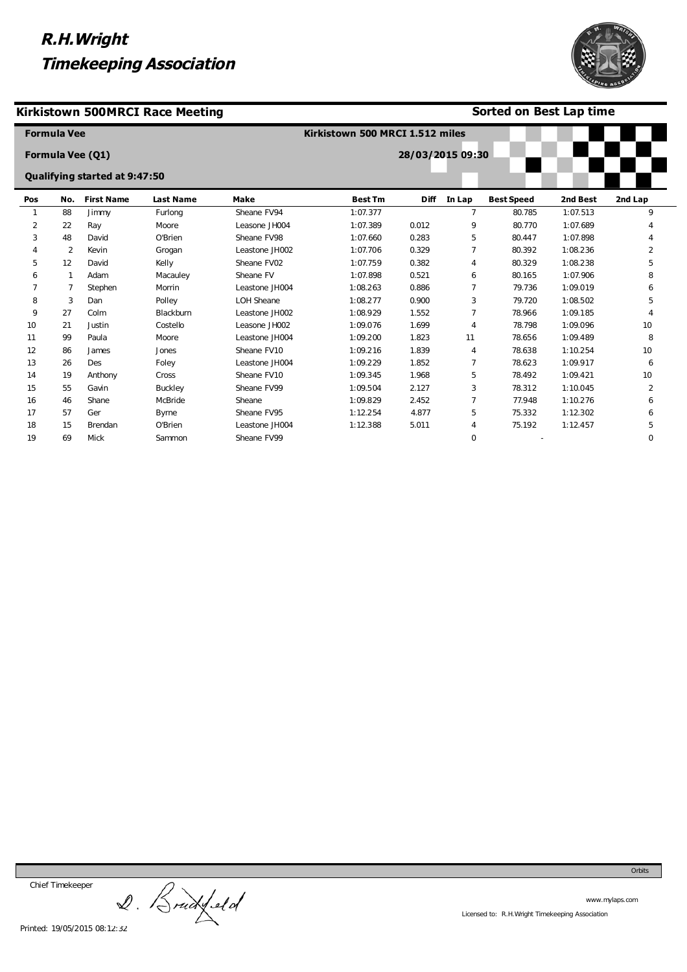#### **Kirkistown 500MRCI Race Meeting**

**Formula Vee** 





|     |                   | Formula Vee (Q1)              |                  |                   |                | 28/03/2015 09:30 |                |                   |          |          |
|-----|-------------------|-------------------------------|------------------|-------------------|----------------|------------------|----------------|-------------------|----------|----------|
|     |                   | Qualifying started at 9:47:50 |                  |                   |                |                  |                |                   |          |          |
| Pos | No.               | <b>First Name</b>             | <b>Last Name</b> | <b>Make</b>       | <b>Best Tm</b> | <b>Diff</b>      | In Lap         | <b>Best Speed</b> | 2nd Best | 2nd Lap  |
|     | 88                | Jimmy                         | Furlong          | Sheane FV94       | 1:07.377       |                  | 7              | 80.785            | 1:07.513 | 9        |
| 2   | 22                | Ray                           | Moore            | Leasone JH004     | 1:07.389       | 0.012            | 9              | 80.770            | 1:07.689 |          |
| 3   | 48                | David                         | O'Brien          | Sheane FV98       | 1:07.660       | 0.283            | 5              | 80.447            | 1:07.898 |          |
|     | 2                 | Kevin                         | Grogan           | Leastone JH002    | 1:07.706       | 0.329            | 7              | 80.392            | 1:08.236 | 2        |
| 5   | $12 \overline{ }$ | David                         | Kelly            | Sheane FV02       | 1:07.759       | 0.382            | 4              | 80.329            | 1:08.238 | 5        |
| 6   |                   | Adam                          | Macauley         | Sheane FV         | 1:07.898       | 0.521            | 6              | 80.165            | 1:07.906 | 8        |
|     | 7                 | Stephen                       | Morrin           | Leastone JH004    | 1:08.263       | 0.886            | $\overline{7}$ | 79.736            | 1:09.019 | 6        |
| 8   | 3                 | Dan                           | Polley           | <b>LOH Sheane</b> | 1:08.277       | 0.900            | 3              | 79.720            | 1:08.502 | 5        |
| 9   | 27                | Colm                          | Blackburn        | Leastone JH002    | 1:08.929       | 1.552            | 7              | 78.966            | 1:09.185 |          |
| 10  | 21                | Justin                        | Costello         | Leasone JH002     | 1:09.076       | 1.699            | 4              | 78.798            | 1:09.096 | 10       |
| 11  | 99                | Paula                         | Moore            | Leastone JH004    | 1:09.200       | 1.823            | 11             | 78.656            | 1:09.489 | 8        |
| 12  | 86                | James                         | Jones            | Sheane FV10       | 1:09.216       | 1.839            | 4              | 78.638            | 1:10.254 | 10       |
| 13  | 26                | Des                           | Foley            | Leastone JH004    | 1:09.229       | 1.852            | $\overline{ }$ | 78.623            | 1:09.917 | 6        |
| 14  | 19                | Anthony                       | Cross            | Sheane FV10       | 1:09.345       | 1.968            | 5              | 78.492            | 1:09.421 | 10       |
| 15  | 55                | Gavin                         | Buckley          | Sheane FV99       | 1:09.504       | 2.127            | 3              | 78.312            | 1:10.045 | 2        |
| 16  | 46                | Shane                         | McBride          | Sheane            | 1:09.829       | 2.452            | 7              | 77.948            | 1:10.276 | 6        |
| 17  | 57                | Ger                           | <b>Byrne</b>     | Sheane FV95       | 1:12.254       | 4.877            | 5              | 75.332            | 1:12.302 | 6        |
| 18  | 15                | Brendan                       | O'Brien          | Leastone JH004    | 1:12.388       | 5.011            | 4              | 75.192            | 1:12.457 | 5        |
| 19  | 69                | Mick                          | Sammon           | Sheane FV99       |                |                  | $\mathbf 0$    |                   |          | $\Omega$ |

Chief Timekeeper

Chief Timekeeper<br>2. Brackfeld



Orbits

www.mylaps.com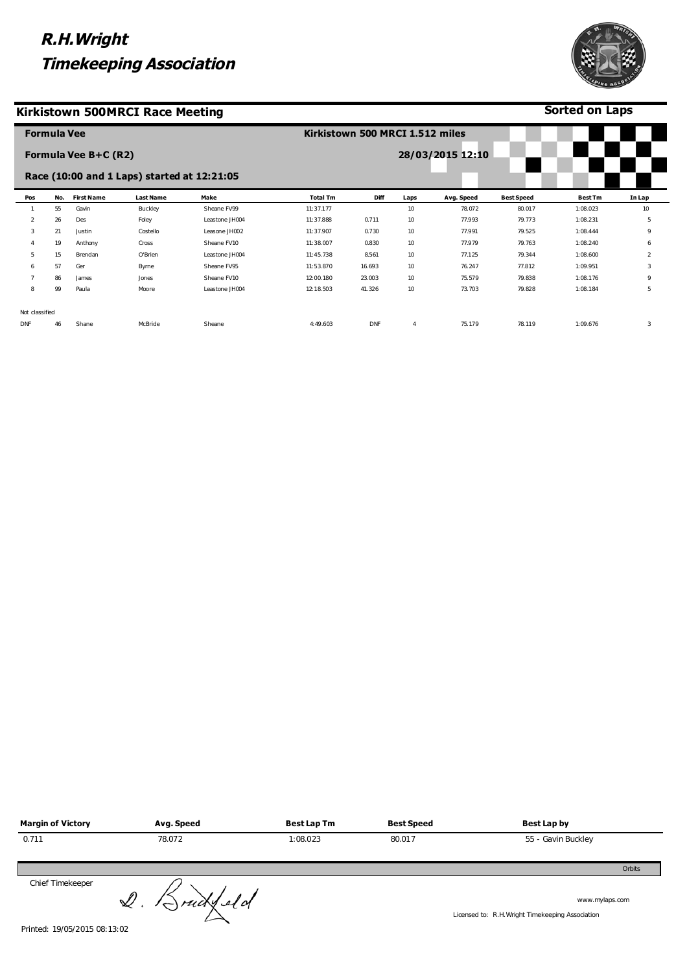#### **Kirkistown 500MRCI Race Meeting**



|                | <b>Formula Vee</b> |                      |                                             |                | Kirkistown 500 MRCI 1.512 miles |            |                |            |                   |                |                |
|----------------|--------------------|----------------------|---------------------------------------------|----------------|---------------------------------|------------|----------------|------------|-------------------|----------------|----------------|
|                |                    | Formula Vee B+C (R2) | Race (10:00 and 1 Laps) started at 12:21:05 |                | 28/03/2015 12:10                |            |                |            |                   |                |                |
| Pos            | No.                | <b>First Name</b>    | <b>Last Name</b>                            | Make           | <b>Total Tm</b>                 | Diff       | Laps           | Avg. Speed | <b>Best Speed</b> | <b>Best Tm</b> | In Lap         |
|                | 55                 | Gavin                | Buckley                                     | Sheane FV99    | 11:37.177                       |            | 10             | 78.072     | 80.017            | 1:08.023       | 10             |
| $\overline{2}$ | 26                 | Des                  | Foley                                       | Leastone JH004 | 11:37.888                       | 0.711      | 10             | 77.993     | 79.773            | 1:08.231       | 5              |
| 3              | 21                 | Justin               | Costello                                    | Leasone JH002  | 11:37.907                       | 0.730      | 10             | 77.991     | 79.525            | 1:08.444       | 9              |
| $\overline{4}$ | 19                 | Anthony              | Cross                                       | Sheane FV10    | 11:38.007                       | 0.830      | 10             | 77.979     | 79.763            | 1:08.240       | 6              |
| 5              | 15                 | Brendan              | O'Brien                                     | Leastone JH004 | 11:45.738                       | 8.561      | 10             | 77.125     | 79.344            | 1:08.600       | $\overline{2}$ |
| 6              | 57                 | Ger                  | Byrne                                       | Sheane FV95    | 11:53.870                       | 16.693     | 10             | 76.247     | 77.812            | 1:09.951       | 3              |
|                | 86                 | James                | Jones                                       | Sheane FV10    | 12:00.180                       | 23.003     | 10             | 75.579     | 79.838            | 1:08.176       | 9              |
| 8              | 99                 | Paula                | Moore                                       | Leastone JH004 | 12:18.503                       | 41.326     | 10             | 73.703     | 79.828            | 1:08.184       | 5              |
| Not classified |                    |                      |                                             |                |                                 |            |                |            |                   |                |                |
| <b>DNF</b>     | 46                 | Shane                | McBride                                     | Sheane         | 4:49.603                        | <b>DNF</b> | $\overline{4}$ | 75.179     | 78.119            | 1:09.676       | 3              |

| Margin of Victory | Avg. Speed | Best Lap Tm | <b>Best Speed</b> | Best Lap by        |
|-------------------|------------|-------------|-------------------|--------------------|
| 0.711             | 78.072     | 1:08.023    | 80.017            | 55 - Gavin Buckley |
|                   |            |             |                   | Orbits             |

Chief Timekeeper

Chief Timekeeper<br>
2. Bruck Lelo

www.mylaps.com

Licensed to: R.H.Wright Timekeeping Association



**Sorted on Laps**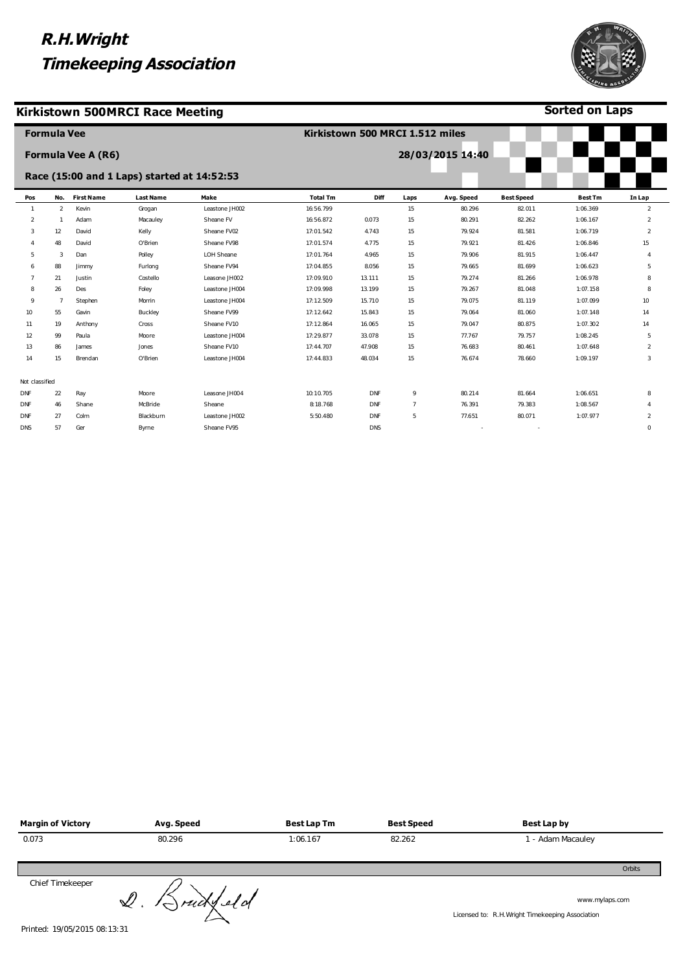#### **Kirkistown 500MRCI Race Meeting**



**Sorted on Laps**

|                | <b>Formula Vee</b> |                    |                                             |                |                 | Kirkistown 500 MRCI 1.512 miles |                |                  |                   |                |                |
|----------------|--------------------|--------------------|---------------------------------------------|----------------|-----------------|---------------------------------|----------------|------------------|-------------------|----------------|----------------|
|                |                    | Formula Vee A (R6) |                                             |                |                 |                                 |                | 28/03/2015 14:40 |                   |                |                |
|                |                    |                    | Race (15:00 and 1 Laps) started at 14:52:53 |                |                 |                                 |                |                  |                   |                |                |
| Pos            | No.                | <b>First Name</b>  | <b>Last Name</b>                            | Make           | <b>Total Tm</b> | Diff                            | Laps           | Avg. Speed       | <b>Best Speed</b> | <b>Best Tm</b> | In Lap         |
| $\mathbf{1}$   | $\overline{2}$     | Kevin              | Grogan                                      | Leastone JH002 | 16:56.799       |                                 | 15             | 80.296           | 82.011            | 1:06.369       | $\overline{2}$ |
| 2              | $\mathbf{1}$       | Adam               | Macauley                                    | Sheane FV      | 16:56.872       | 0.073                           | 15             | 80.291           | 82.262            | 1:06.167       | $\overline{2}$ |
| 3              | 12                 | David              | Kelly                                       | Sheane FV02    | 17:01.542       | 4.743                           | 15             | 79.924           | 81.581            | 1:06.719       | $\overline{2}$ |
|                | 48                 | David              | O'Brien                                     | Sheane FV98    | 17:01.574       | 4.775                           | 15             | 79.921           | 81.426            | 1:06.846       | 15             |
| 5              | 3                  | Dan                | Polley                                      | LOH Sheane     | 17:01.764       | 4.965                           | 15             | 79.906           | 81.915            | 1:06.447       | $\Delta$       |
| 6              | 88                 | Jimmy              | Furlong                                     | Sheane FV94    | 17:04.855       | 8.056                           | 15             | 79.665           | 81.699            | 1:06.623       | 5              |
|                | 21                 | Justin             | Costello                                    | Leasone JH002  | 17:09.910       | 13.111                          | 15             | 79.274           | 81.266            | 1:06.978       | 8              |
| 8              | 26                 | Des                | Foley                                       | Leastone JH004 | 17:09.998       | 13.199                          | 15             | 79.267           | 81.048            | 1:07.158       | 8              |
| 9              | $\overline{7}$     | Stephen            | Morrin                                      | Leastone JH004 | 17:12.509       | 15.710                          | 15             | 79.075           | 81.119            | 1:07.099       | 10             |
| 10             | 55                 | Gavin              | Buckley                                     | Sheane FV99    | 17:12.642       | 15.843                          | 15             | 79.064           | 81.060            | 1:07.148       | 14             |
| 11             | 19                 | Anthony            | Cross                                       | Sheane FV10    | 17:12.864       | 16.065                          | 15             | 79.047           | 80.875            | 1:07.302       | 14             |
| 12             | 99                 | Paula              | Moore                                       | Leastone JH004 | 17:29.877       | 33.078                          | 15             | 77.767           | 79.757            | 1:08.245       | 5              |
| 13             | 86                 | James              | Jones                                       | Sheane FV10    | 17:44.707       | 47.908                          | 15             | 76.683           | 80.461            | 1:07.648       | $\overline{2}$ |
| 14             | 15                 | Brendan            | O'Brien                                     | Leastone JH004 | 17:44.833       | 48.034                          | 15             | 76.674           | 78.660            | 1:09.197       | 3              |
| Not classified |                    |                    |                                             |                |                 |                                 |                |                  |                   |                |                |
| DNF            | 22                 | Ray                | Moore                                       | Leasone JH004  | 10:10.705       | DNF                             | 9              | 80.214           | 81.664            | 1:06.651       | 8              |
| DNF            | 46                 | Shane              | McBride                                     | Sheane         | 8:18.768        | DNF                             | $\overline{7}$ | 76.391           | 79.383            | 1:08.567       |                |
| DNF            | 27                 | Colm               | Blackburn                                   | Leastone JH002 | 5:50.480        | <b>DNF</b>                      | 5              | 77.651           | 80.071            | 1:07.977       | 2              |
| <b>DNS</b>     | 57                 | Ger                | Byrne                                       | Sheane FV95    |                 | <b>DNS</b>                      |                |                  |                   |                | $\mathbf 0$    |
|                |                    |                    |                                             |                |                 |                                 |                |                  |                   |                |                |

| <b>Margin of Victory</b> | Avg. Speed | Best Lap Tm | <b>Best Speed</b> | Best Lap by       |
|--------------------------|------------|-------------|-------------------|-------------------|
| 0.073                    | 80.296     | 1:06.167    | 82.262            | 1 - Adam Macauley |
|                          |            |             |                   | Orbits            |
|                          | $-$        |             |                   |                   |

Chief Timekeeper

Chief Timekeeper<br>
2. Bruck Lelo

www.mylaps.com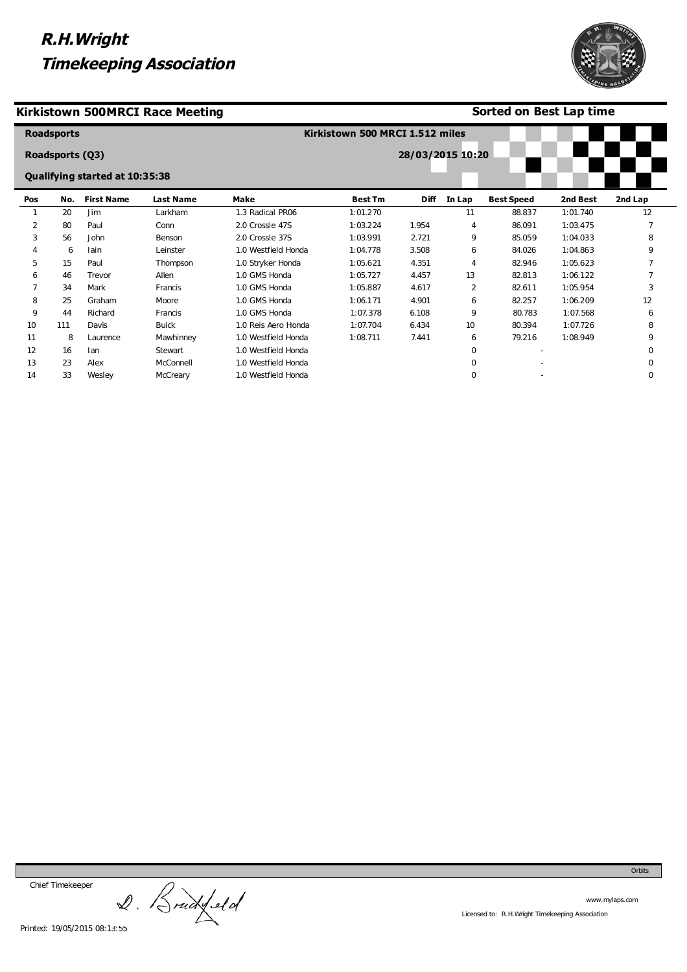



#### **Sorted on Best Lap time**

|                                | <b>Roadsports</b> |                   |                  |                     | Kirkistown 500 MRCI 1.512 miles |                  |        |                   |          |          |
|--------------------------------|-------------------|-------------------|------------------|---------------------|---------------------------------|------------------|--------|-------------------|----------|----------|
|                                | Roadsports (Q3)   |                   |                  |                     |                                 | 28/03/2015 10:20 |        |                   |          |          |
| Qualifying started at 10:35:38 |                   |                   |                  |                     |                                 |                  |        |                   |          |          |
| Pos                            | No.               | <b>First Name</b> | <b>Last Name</b> | Make                | <b>Best Tm</b>                  | <b>Diff</b>      | In Lap | <b>Best Speed</b> | 2nd Best | 2nd Lap  |
|                                | 20                | Jim               | Larkham          | 1.3 Radical PR06    | 1:01.270                        |                  | 11     | 88.837            | 1:01.740 | 12       |
| 2                              | 80                | Paul              | Conn             | 2.0 Crossle 47S     | 1:03.224                        | 1.954            | 4      | 86.091            | 1:03.475 |          |
| 3                              | 56                | John              | Benson           | 2.0 Crossle 37S     | 1:03.991                        | 2.721            | 9      | 85.059            | 1:04.033 | 8        |
| 4                              | 6                 | lain              | Leinster         | 1.0 Westfield Honda | 1:04.778                        | 3.508            | 6      | 84.026            | 1:04.863 | 9        |
| 5                              | 15                | Paul              | Thompson         | 1.0 Stryker Honda   | 1:05.621                        | 4.351            | 4      | 82.946            | 1:05.623 |          |
| 6                              | 46                | Trevor            | Allen            | 1.0 GMS Honda       | 1:05.727                        | 4.457            | 13     | 82.813            | 1:06.122 |          |
|                                | 34                | Mark              | Francis          | 1.0 GMS Honda       | 1:05.887                        | 4.617            | 2      | 82.611            | 1:05.954 | 3        |
| 8                              | 25                | Graham            | Moore            | 1.0 GMS Honda       | 1:06.171                        | 4.901            | 6      | 82.257            | 1:06.209 | 12       |
| 9                              | 44                | Richard           | Francis          | 1.0 GMS Honda       | 1:07.378                        | 6.108            | 9      | 80.783            | 1:07.568 | 6        |
| 10                             | 111               | Davis             | <b>Buick</b>     | 1.0 Reis Aero Honda | 1:07.704                        | 6.434            | 10     | 80.394            | 1:07.726 | 8        |
| 11                             | 8                 | Laurence          | Mawhinney        | 1.0 Westfield Honda | 1:08.711                        | 7.441            | 6      | 79.216            | 1:08.949 | 9        |
| 12                             | 16                | lan               | Stewart          | 1.0 Westfield Honda |                                 |                  | 0      |                   |          | $\Omega$ |
| 13                             | 23                | Alex              | McConnell        | 1.0 Westfield Honda |                                 |                  | 0      |                   |          | $\Omega$ |
| 14                             | 33                | Wesley            | McCreary         | 1.0 Westfield Honda |                                 |                  | 0      |                   |          | 0        |

Chief Timekeeper

Chief Timekeeper<br>
2. Bruckfeld

Orbits

www.mylaps.com Licensed to: R.H.Wright Timekeeping Association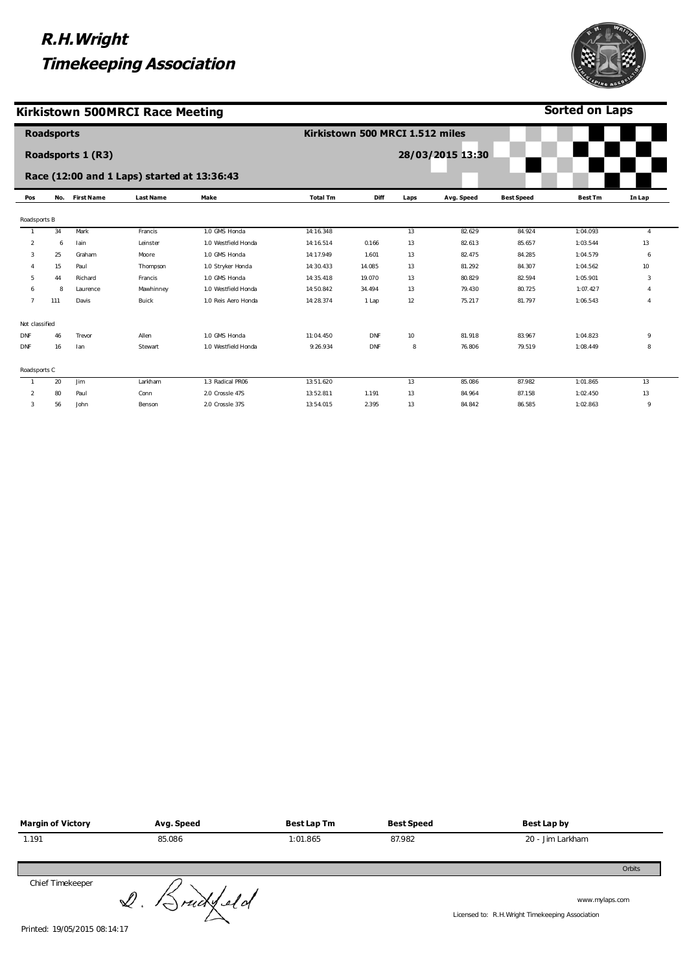#### **Kirkistown 500MRCI Race Meeting**



**Sorted on Laps**

|                | <b>Roadsports</b> |                   |                                             |                     | Kirkistown 500 MRCI 1.512 miles |            |      |                  |                   |                |                |  |
|----------------|-------------------|-------------------|---------------------------------------------|---------------------|---------------------------------|------------|------|------------------|-------------------|----------------|----------------|--|
|                |                   | Roadsports 1 (R3) |                                             |                     |                                 |            |      | 28/03/2015 13:30 |                   |                |                |  |
|                |                   |                   | Race (12:00 and 1 Laps) started at 13:36:43 |                     |                                 |            |      |                  |                   |                |                |  |
| Pos            |                   | No. First Name    | <b>Last Name</b>                            | Make                | <b>Total Tm</b>                 | Diff       | Laps | Avg. Speed       | <b>Best Speed</b> | <b>Best Tm</b> | In Lap         |  |
| Roadsports B   |                   |                   |                                             |                     |                                 |            |      |                  |                   |                |                |  |
| $\mathbf{1}$   | 34                | Mark              | Francis                                     | 1.0 GMS Honda       | 14:16.348                       |            | 13   | 82.629           | 84.924            | 1:04.093       | 4              |  |
| $\overline{2}$ | 6                 | lain              | Leinster                                    | 1.0 Westfield Honda | 14:16.514                       | 0.166      | 13   | 82.613           | 85.657            | 1:03.544       | 13             |  |
| 3              | 25                | Graham            | Moore                                       | 1.0 GMS Honda       | 14:17.949                       | 1.601      | 13   | 82.475           | 84.285            | 1:04.579       | 6              |  |
|                | 15                | Paul              | Thompson                                    | 1.0 Stryker Honda   | 14:30.433                       | 14.085     | 13   | 81.292           | 84.307            | 1:04.562       | 10             |  |
| 5              | 44                | Richard           | Francis                                     | 1.0 GMS Honda       | 14:35.418                       | 19.070     | 13   | 80.829           | 82.594            | 1:05.901       | 3              |  |
| 6              | 8                 | Laurence          | Mawhinney                                   | 1.0 Westfield Honda | 14:50.842                       | 34.494     | 13   | 79.430           | 80.725            | 1:07.427       | $\overline{4}$ |  |
| $\overline{7}$ | 111               | Davis             | Buick                                       | 1.0 Reis Aero Honda | 14:28.374                       | 1 Lap      | 12   | 75.217           | 81.797            | 1:06.543       | $\overline{4}$ |  |
| Not classified |                   |                   |                                             |                     |                                 |            |      |                  |                   |                |                |  |
| <b>DNF</b>     | 46                | Trevor            | Allen                                       | 1.0 GMS Honda       | 11:04.450                       | <b>DNF</b> | 10   | 81.918           | 83.967            | 1:04.823       | 9              |  |
| DNF            | 16                | lan               | Stewart                                     | 1.0 Westfield Honda | 9:26.934                        | DNF        | 8    | 76.806           | 79.519            | 1:08.449       | 8              |  |
| Roadsports C   |                   |                   |                                             |                     |                                 |            |      |                  |                   |                |                |  |
|                | 20                | Jim               | Larkham                                     | 1.3 Radical PR06    | 13:51.620                       |            | 13   | 85.086           | 87.982            | 1:01.865       | 13             |  |
| 2              | 80                | Paul              | Conn                                        | 2.0 Crossle 47S     | 13:52.811                       | 1.191      | 13   | 84.964           | 87.158            | 1:02.450       | 13             |  |
| 3              | 56                | John              | Benson                                      | 2.0 Crossle 37S     | 13:54.015                       | 2.395      | 13   | 84.842           | 86.585            | 1:02.863       | $\mathsf{Q}$   |  |

| <b>Margin of Victory</b> | Avg. Speed | Best Lap Tm | <b>Best Speed</b> | Best Lap by      |
|--------------------------|------------|-------------|-------------------|------------------|
| 1.191                    | 85.086     | 1:01.865    | 87.982            | 20 - Jim Larkham |
|                          |            |             |                   | Orbits           |

Chief Timekeeper

www.mylaps.com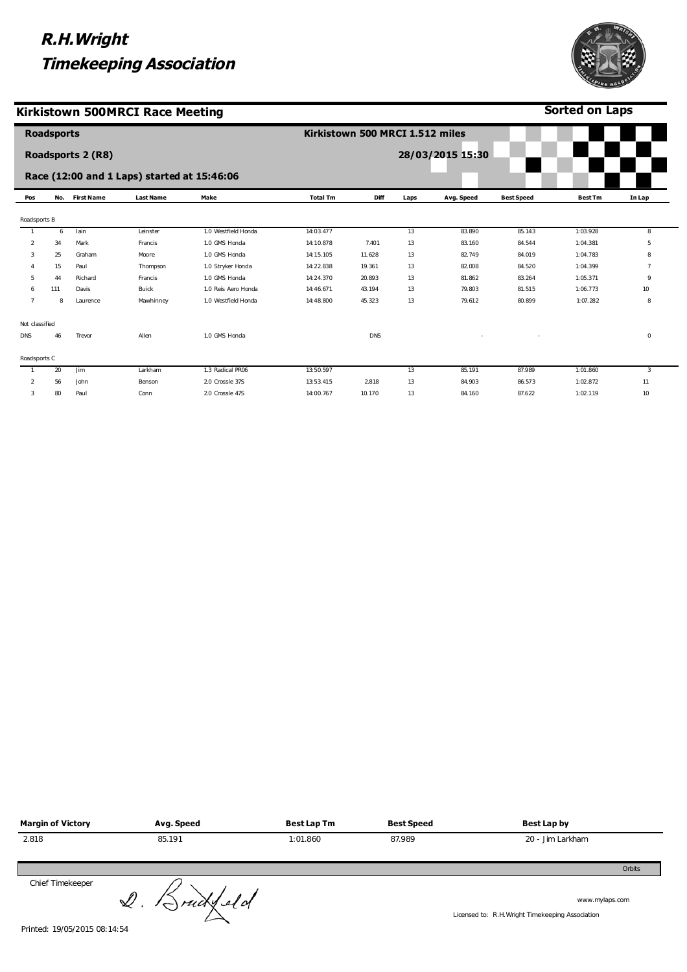#### **Kirkistown 500MRCI Race Meeting**



|                | <b>Roadsports</b> |                   |                                             |                     | Kirkistown 500 MRCI 1.512 miles |             |      |                  |                   |                |                  |
|----------------|-------------------|-------------------|---------------------------------------------|---------------------|---------------------------------|-------------|------|------------------|-------------------|----------------|------------------|
|                |                   | Roadsports 2 (R8) | Race (12:00 and 1 Laps) started at 15:46:06 |                     |                                 |             |      | 28/03/2015 15:30 |                   |                |                  |
| Pos            |                   | No. First Name    | <b>Last Name</b>                            | Make                | <b>Total Tm</b>                 | <b>Diff</b> | Laps | Avg. Speed       | <b>Best Speed</b> | <b>Best Tm</b> | In Lap           |
| Roadsports B   |                   |                   |                                             |                     |                                 |             |      |                  |                   |                |                  |
| $\mathbf{1}$   | 6                 | lain              | Leinster                                    | 1.0 Westfield Honda | 14:03.477                       |             | 13   | 83.890           | 85.143            | 1:03.928       | 8                |
| $\overline{2}$ | 34                | Mark              | Francis                                     | 1.0 GMS Honda       | 14:10.878                       | 7.401       | 13   | 83.160           | 84.544            | 1:04.381       | 5                |
| 3              | 25                | Graham            | Moore                                       | 1.0 GMS Honda       | 14:15.105                       | 11.628      | 13   | 82.749           | 84.019            | 1:04.783       | 8                |
|                | 15                | Paul              | Thompson                                    | 1.0 Stryker Honda   | 14:22.838                       | 19.361      | 13   | 82.008           | 84.520            | 1:04.399       | $\overline{7}$   |
| 5              | 44                | Richard           | Francis                                     | 1.0 GMS Honda       | 14:24.370                       | 20.893      | 13   | 81.862           | 83.264            | 1:05.371       | 9                |
| 6              | 111               | Davis             | Buick                                       | 1.0 Reis Aero Honda | 14:46.671                       | 43.194      | 13   | 79.803           | 81.515            | 1:06.773       | 10               |
| $\overline{7}$ | 8                 | Laurence          | Mawhinney                                   | 1.0 Westfield Honda | 14:48.800                       | 45.323      | 13   | 79.612           | 80.899            | 1:07.282       | 8                |
| Not classified |                   |                   |                                             |                     |                                 |             |      |                  |                   |                |                  |
| <b>DNS</b>     | 46                | Trevor            | Allen                                       | 1.0 GMS Honda       |                                 | <b>DNS</b>  |      |                  |                   |                | 0                |
| Roadsports C   |                   |                   |                                             |                     |                                 |             |      |                  |                   |                |                  |
| $\mathbf{1}$   | 20                | Jim               | Larkham                                     | 1.3 Radical PR06    | 13:50.597                       |             | 13   | 85.191           | 87.989            | 1:01.860       | 3                |
| $\overline{2}$ | 56                | John              | Benson                                      | 2.0 Crossle 37S     | 13:53.415                       | 2.818       | 13   | 84.903           | 86.573            | 1:02.872       | 11               |
| 3              | 80                | Paul              | Conn                                        | 2.0 Crossle 47S     | 14:00.767                       | 10.170      | 13   | 84.160           | 87.622            | 1:02.119       | 10 <sup>10</sup> |

| <b>Margin of Victory</b>                         | Avg. Speed | <b>Best Lap Tm</b> | <b>Best Speed</b> | Best Lap by      |        |
|--------------------------------------------------|------------|--------------------|-------------------|------------------|--------|
| 2.818                                            | 85.191     | 1:01.860           | 87.989            | 20 - Jim Larkham |        |
|                                                  |            |                    |                   |                  |        |
| $\sim$ $\sim$ $\sim$ $\sim$ $\sim$ $\sim$ $\sim$ | ⌒          |                    |                   |                  | Orbits |

Chief Timekeeper

Chief Timekeeper<br>Printed: 19/05/2015 08:14:54

www.mylaps.com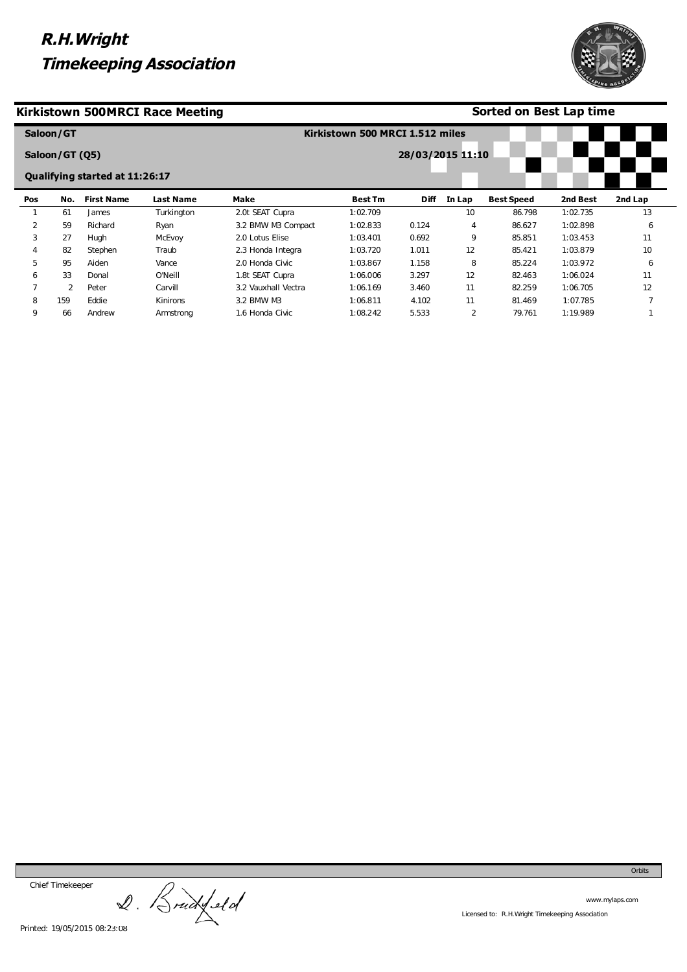

#### **Kirkistown 500MRCI Race Meeting**

#### **Sorted on Best Lap time**

|                          | Saloon/GT      |                                |            |                     |                | Kirkistown 500 MRCI 1.512 miles |                |                   |          |         |  |
|--------------------------|----------------|--------------------------------|------------|---------------------|----------------|---------------------------------|----------------|-------------------|----------|---------|--|
|                          | Saloon/GT (Q5) |                                |            |                     |                | 28/03/2015 11:10                |                |                   |          |         |  |
|                          |                | Qualifying started at 11:26:17 |            |                     |                |                                 |                |                   |          |         |  |
| Pos                      | No.            | <b>First Name</b>              | Last Name  | Make                | <b>Best Tm</b> | <b>Diff</b>                     | In Lap         | <b>Best Speed</b> | 2nd Best | 2nd Lap |  |
|                          | 61             | James                          | Turkington | 2.0t SEAT Cupra     | 1:02.709       |                                 | 10             | 86.798            | 1:02.735 | 13      |  |
| $\overline{\mathcal{L}}$ | 59             | Richard                        | Ryan       | 3.2 BMW M3 Compact  | 1:02.833       | 0.124                           | 4              | 86.627            | 1:02.898 | 6       |  |
| 3                        | 27             | Hugh                           | McEvoy     | 2.0 Lotus Elise     | 1:03.401       | 0.692                           | 9              | 85.851            | 1:03.453 | 11      |  |
|                          | 82             | Stephen                        | Traub      | 2.3 Honda Integra   | 1:03.720       | 1.011                           | 12             | 85.421            | 1:03.879 | 10      |  |
| 5                        | 95             | Aiden                          | Vance      | 2.0 Honda Civic     | 1:03.867       | 1.158                           | 8              | 85.224            | 1:03.972 | 6       |  |
| 6                        | 33             | Donal                          | O'Neill    | 1.8t SEAT Cupra     | 1:06.006       | 3.297                           | 12             | 82.463            | 1:06.024 | 11      |  |
| $\overline{\phantom{a}}$ | 2              | Peter                          | Carvill    | 3.2 Vauxhall Vectra | 1:06.169       | 3.460                           | 11             | 82.259            | 1:06.705 | 12      |  |
| 8                        | 159            | Eddie                          | Kinirons   | 3.2 BMW M3          | 1:06.811       | 4.102                           | 11             | 81.469            | 1:07.785 |         |  |
| 9                        | 66             | Andrew                         | Armstrong  | 1.6 Honda Civic     | 1:08.242       | 5.533                           | $\overline{2}$ | 79.761            | 1:19.989 |         |  |

Chief Timekeeper

Chief Timekeeper<br>2. Bruckfeld

www.mylaps.com Licensed to: R.H.Wright Timekeeping Association

Orbits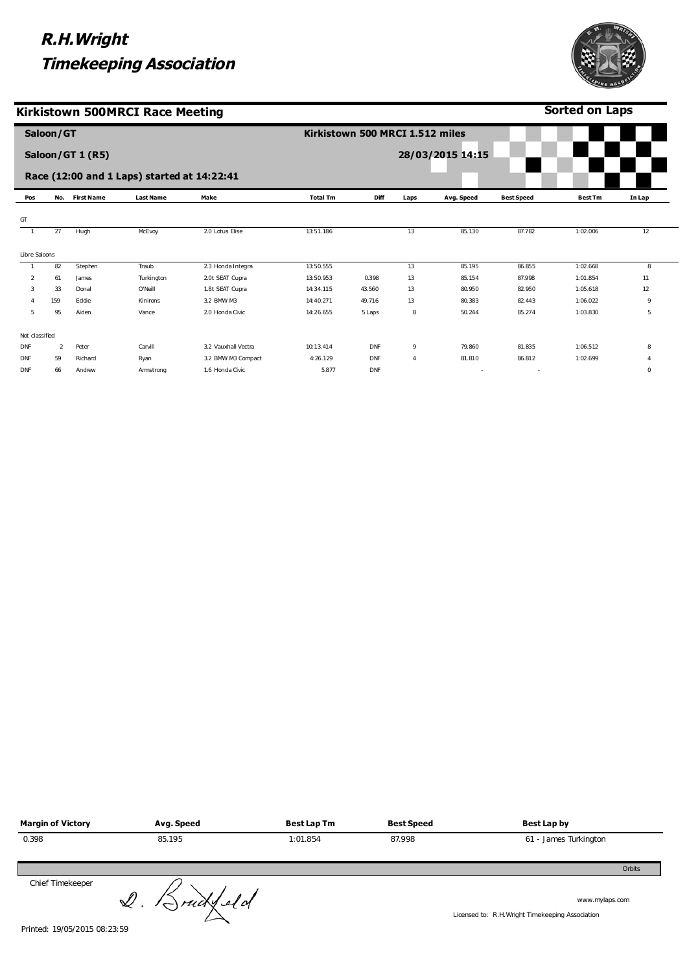

**Sorted on Laps**

**Kirkistown 500MRCI Race Meeting** 

DNF DNF DNF

59 66 Richard Andrew

Ryan Armstrong 3.2 BMW M3 Compact 1.6 Honda Civic

|                | Saloon/GT      |                  |                                             |                     |                 | Kirkistown 500 MRCI 1.512 miles |      |                  |                   |                |        |
|----------------|----------------|------------------|---------------------------------------------|---------------------|-----------------|---------------------------------|------|------------------|-------------------|----------------|--------|
|                |                | Saloon/GT 1 (R5) |                                             |                     |                 |                                 |      | 28/03/2015 14:15 |                   |                |        |
|                |                |                  | Race (12:00 and 1 Laps) started at 14:22:41 |                     |                 |                                 |      |                  |                   |                |        |
| Pos            |                | No. First Name   | <b>Last Name</b>                            | Make                | <b>Total Tm</b> | Diff                            | Laps | Avg. Speed       | <b>Best Speed</b> | <b>Best Tm</b> | In Lap |
| GT             |                |                  |                                             |                     |                 |                                 |      |                  |                   |                |        |
|                | 27             | Hugh             | McEvoy                                      | 2.0 Lotus Elise     | 13:51.186       |                                 | 13   | 85.130           | 87.782            | 1:02.006       | 12     |
| Libre Saloons  |                |                  |                                             |                     |                 |                                 |      |                  |                   |                |        |
|                | 82             | Stephen          | Traub                                       | 2.3 Honda Integra   | 13:50.555       |                                 | 13   | 85.195           | 86.855            | 1:02.668       | 8      |
| $\overline{2}$ | 61             | James            | Turkington                                  | 2.0t SEAT Cupra     | 13:50.953       | 0.398                           | 13   | 85.154           | 87.998            | 1:01.854       | 11     |
| 3              | 33             | Donal            | O'Neill                                     | 1.8t SEAT Cupra     | 14:34.115       | 43.560                          | 13   | 80.950           | 82.950            | 1:05.618       | 12     |
|                | 159            | Eddie            | Kinirons                                    | 3.2 BMW M3          | 14:40.271       | 49.716                          | 13   | 80.383           | 82.443            | 1:06.022       | 9      |
| 5              | 95             | Aiden            | Vance                                       | 2.0 Honda Civic     | 14:26.655       | 5 Laps                          | 8    | 50.244           | 85.274            | 1:03.830       | 5      |
| Not classified |                |                  |                                             |                     |                 |                                 |      |                  |                   |                |        |
| DNF            | $\overline{2}$ | Peter            | Carvill                                     | 3.2 Vauxhall Vectra | 10:13.414       | DNF                             | 9    | 79.860           | 81.835            | 1:06.512       | 8      |

DNF DNF

4

81.810 - 86.812 - 1:02.699

4 0

4:26.129 5.877

| Margin of Victory | Avg. Speed | Best Lap Tm | <b>Best Speed</b> | Best Lap by           |
|-------------------|------------|-------------|-------------------|-----------------------|
| 0.398             | 85.195     | 1:01.854    | 87.998            | 61 - James Turkington |
|                   |            |             |                   | Orbits                |

Chief Timekeeper

Chief Timekeeper<br>
2. Bruck Lelo

www.mylaps.com